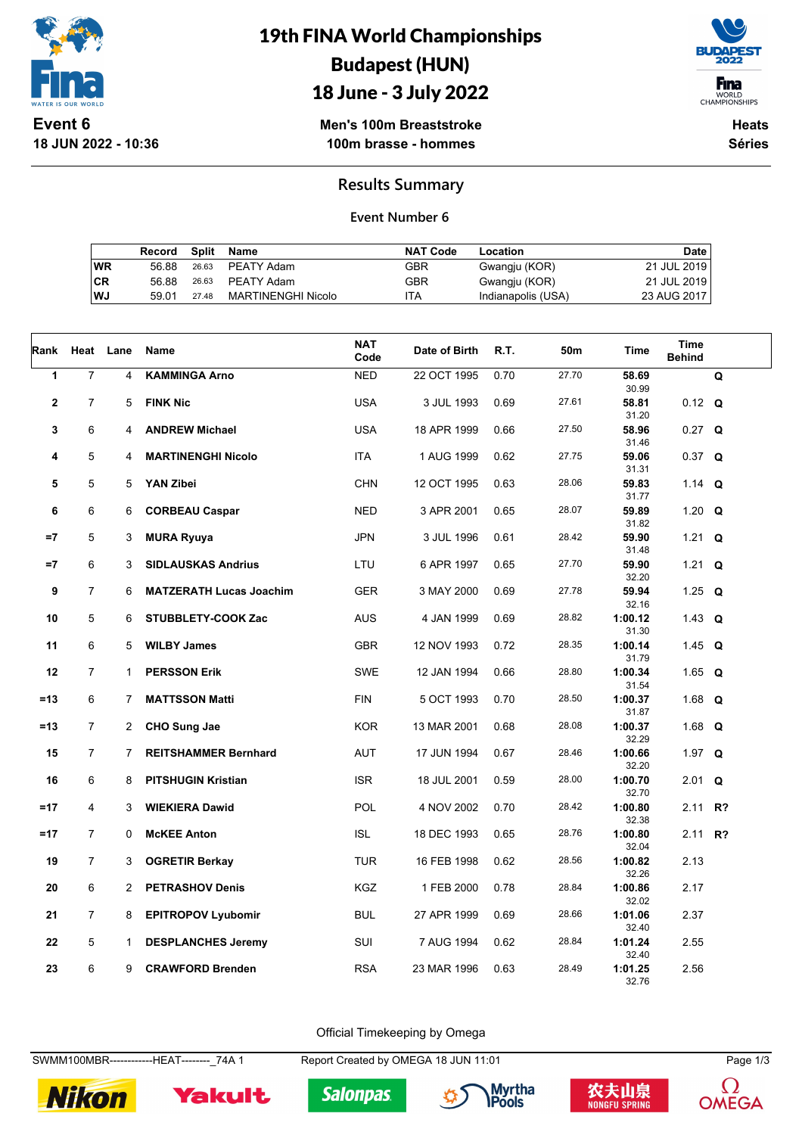

**18 JUN 2022 - 10:36**

# 19th FINA World Championships Budapest (HUN)



18 June - 3 July 2022

**Men's 100m Breaststroke 100m brasse - hommes**

**Heats Séries**

### **Results Summary**

#### **Event Number 6**

|    | Record |       | Split Name         | <b>NAT Code</b> | Location           | Date        |
|----|--------|-------|--------------------|-----------------|--------------------|-------------|
| WR | 56.88  |       | 26.63 PEATY Adam   | GBR             | Gwangju (KOR)      | 21 JUL 2019 |
| СR | 56.88  |       | 26.63 PEATY Adam   | GBR             | Gwangju (KOR)      | 21 JUL 2019 |
| WJ | 59.01  | 27.48 | MARTINENGHI Nicolo | ITA             | Indianapolis (USA) | 23 AUG 2017 |

| Rank         | Heat           | Lane           | <b>Name</b>                    | <b>NAT</b><br>Code | Date of Birth | R.T. | 50m   | Time                      | Time<br><b>Behind</b> |   |
|--------------|----------------|----------------|--------------------------------|--------------------|---------------|------|-------|---------------------------|-----------------------|---|
| $\mathbf{1}$ | $\overline{7}$ | 4              | <b>KAMMINGA Arno</b>           | <b>NED</b>         | 22 OCT 1995   | 0.70 | 27.70 | 58.69<br>30.99            |                       | Q |
| $\mathbf 2$  | $\overline{7}$ | 5              | <b>FINK Nic</b>                | <b>USA</b>         | 3 JUL 1993    | 0.69 | 27.61 | 58.81<br>31.20            | $0.12$ Q              |   |
| 3            | 6              | 4              | <b>ANDREW Michael</b>          | <b>USA</b>         | 18 APR 1999   | 0.66 | 27.50 | 58.96<br>31.46            | $0.27$ Q              |   |
| 4            | 5              | 4              | <b>MARTINENGHI Nicolo</b>      | ITA                | 1 AUG 1999    | 0.62 | 27.75 | 59.06<br>31.31            | $0.37$ Q              |   |
| 5            | 5              | 5              | YAN Zibei                      | CHN                | 12 OCT 1995   | 0.63 | 28.06 | 59.83<br>31.77            | 1.14 Q                |   |
| 6            | 6              | 6              | <b>CORBEAU Caspar</b>          | <b>NED</b>         | 3 APR 2001    | 0.65 | 28.07 | 59.89<br>31.82            | 1.20 $Q$              |   |
| $=7$         | 5              | 3              | <b>MURA Ryuya</b>              | <b>JPN</b>         | 3 JUL 1996    | 0.61 | 28.42 | 59.90<br>31.48            | 1.21 $Q$              |   |
| $=7$         | 6              | 3              | <b>SIDLAUSKAS Andrius</b>      | LTU                | 6 APR 1997    | 0.65 | 27.70 | 59.90<br>32.20            | 1.21 $Q$              |   |
| 9            | $\overline{7}$ | 6              | <b>MATZERATH Lucas Joachim</b> | <b>GER</b>         | 3 MAY 2000    | 0.69 | 27.78 | 59.94                     | 1.25 $Q$              |   |
| 10           | 5              | 6              | <b>STUBBLETY-COOK Zac</b>      | <b>AUS</b>         | 4 JAN 1999    | 0.69 | 28.82 | 32.16<br>1:00.12          | 1.43 $Q$              |   |
| 11           | 6              | 5              | <b>WILBY James</b>             | <b>GBR</b>         | 12 NOV 1993   | 0.72 | 28.35 | 31.30<br>1:00.14          | 1.45 $Q$              |   |
| 12           | $\overline{7}$ | $\mathbf{1}$   | <b>PERSSON Erik</b>            | <b>SWE</b>         | 12 JAN 1994   | 0.66 | 28.80 | 31.79<br>1:00.34          | 1.65 $Q$              |   |
| $=13$        | 6              | $\overline{7}$ | <b>MATTSSON Matti</b>          | <b>FIN</b>         | 5 OCT 1993    | 0.70 | 28.50 | 31.54<br>1:00.37          | 1.68 $Q$              |   |
| $=13$        | $\overline{7}$ | $\mathbf{2}$   | <b>CHO Sung Jae</b>            | <b>KOR</b>         | 13 MAR 2001   | 0.68 | 28.08 | 31.87<br>1:00.37          | 1.68 $Q$              |   |
| 15           | $\overline{7}$ | $\overline{7}$ | <b>REITSHAMMER Bernhard</b>    | AUT                | 17 JUN 1994   | 0.67 | 28.46 | 32.29<br>1:00.66          | 1.97 $Q$              |   |
| 16           | 6              | 8              | <b>PITSHUGIN Kristian</b>      | <b>ISR</b>         | 18 JUL 2001   | 0.59 | 28.00 | 32.20<br>1:00.70          | 2.01 Q                |   |
| $=17$        | 4              | 3              | <b>WIEKIERA Dawid</b>          | <b>POL</b>         | 4 NOV 2002    | 0.70 | 28.42 | 32.70<br>1:00.80          | 2.11 R?               |   |
| $=17$        | $\overline{7}$ | 0              | <b>McKEE Anton</b>             | <b>ISL</b>         | 18 DEC 1993   | 0.65 | 28.76 | 32.38<br>1:00.80          | 2.11 $R$ ?            |   |
| 19           | $\overline{7}$ | 3              | <b>OGRETIR Berkay</b>          | <b>TUR</b>         | 16 FEB 1998   | 0.62 | 28.56 | 32.04<br>1:00.82          | 2.13                  |   |
| 20           | 6              | $\overline{2}$ | <b>PETRASHOV Denis</b>         | <b>KGZ</b>         | 1 FEB 2000    | 0.78 | 28.84 | 32.26<br>1:00.86          | 2.17                  |   |
| 21           | $\overline{7}$ | 8              | <b>EPITROPOV Lyubomir</b>      | <b>BUL</b>         | 27 APR 1999   | 0.69 | 28.66 | 32.02<br>1:01.06          | 2.37                  |   |
| 22           | 5              | $\mathbf{1}$   | <b>DESPLANCHES Jeremy</b>      | SUI                | 7 AUG 1994    | 0.62 | 28.84 | 32.40<br>1:01.24          | 2.55                  |   |
| 23           | 6              | 9              | <b>CRAWFORD Brenden</b>        | <b>RSA</b>         | 23 MAR 1996   | 0.63 | 28.49 | 32.40<br>1:01.25<br>32.76 | 2.56                  |   |

Official Timekeeping by Omega

SWMM100MBR------------HEAT--------\_74A 1 Report Created by OMEGA 18 JUN 11:01 Page 1/3



Yakult





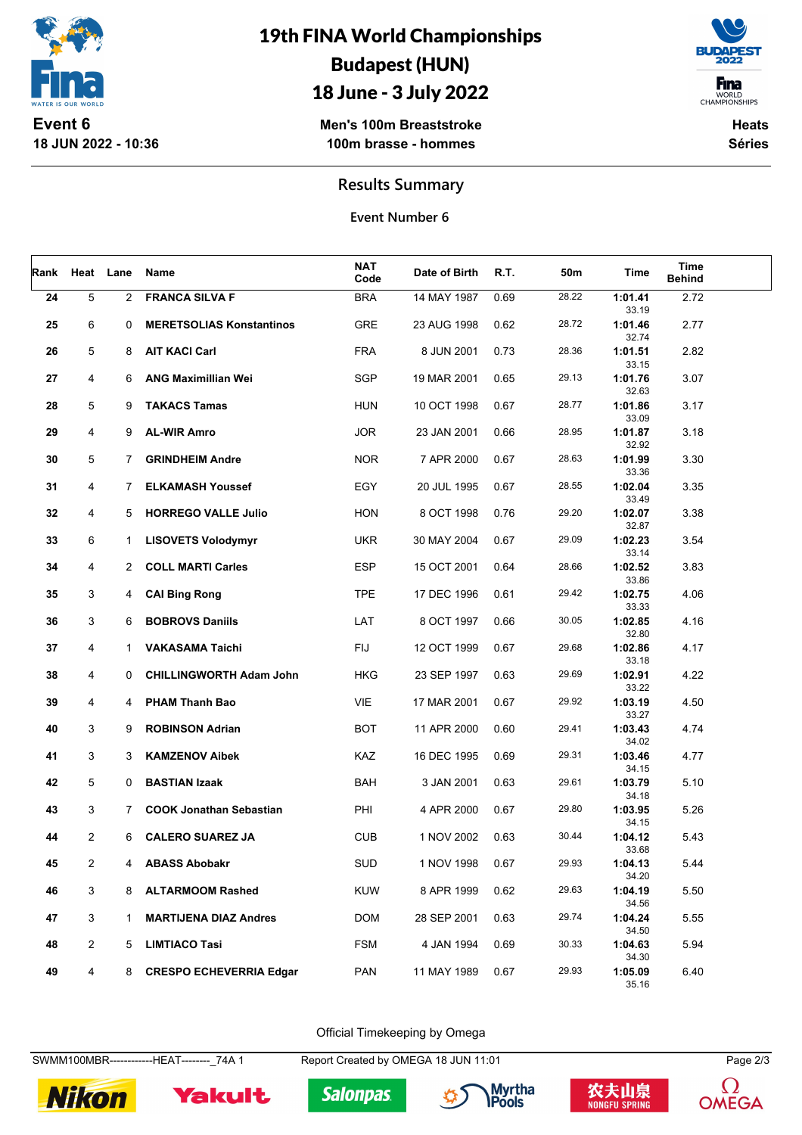

**Event 6 18 JUN 2022 - 10:36**

## 19th FINA World Championships Budapest (HUN)

### 18 June - 3 July 2022

**F**ina WORLD<br>CHAMPIONSHIPS

**Men's 100m Breaststroke 100m brasse - hommes**

**Heats Séries**

**Results Summary**

**Event Number 6**

| Rank | Heat           | Lane           | Name                            | <b>NAT</b><br>Code | Date of Birth | R.T. | 50m   | Time             | Time<br><b>Behind</b> |  |
|------|----------------|----------------|---------------------------------|--------------------|---------------|------|-------|------------------|-----------------------|--|
| 24   | 5              | $\overline{2}$ | <b>FRANCA SILVA F</b>           | <b>BRA</b>         | 14 MAY 1987   | 0.69 | 28.22 | 1:01.41<br>33.19 | 2.72                  |  |
| 25   | 6              | 0              | <b>MERETSOLIAS Konstantinos</b> | <b>GRE</b>         | 23 AUG 1998   | 0.62 | 28.72 | 1:01.46<br>32.74 | 2.77                  |  |
| 26   | 5              | 8              | <b>AIT KACI Carl</b>            | <b>FRA</b>         | 8 JUN 2001    | 0.73 | 28.36 | 1:01.51<br>33.15 | 2.82                  |  |
| 27   | 4              | 6              | <b>ANG Maximillian Wei</b>      | <b>SGP</b>         | 19 MAR 2001   | 0.65 | 29.13 | 1:01.76<br>32.63 | 3.07                  |  |
| 28   | 5              | 9              | <b>TAKACS Tamas</b>             | <b>HUN</b>         | 10 OCT 1998   | 0.67 | 28.77 | 1:01.86<br>33.09 | 3.17                  |  |
| 29   | 4              | 9              | <b>AL-WIR Amro</b>              | <b>JOR</b>         | 23 JAN 2001   | 0.66 | 28.95 | 1:01.87<br>32.92 | 3.18                  |  |
| 30   | 5              | $7^{\circ}$    | <b>GRINDHEIM Andre</b>          | <b>NOR</b>         | 7 APR 2000    | 0.67 | 28.63 | 1:01.99<br>33.36 | 3.30                  |  |
| 31   | 4              | 7              | <b>ELKAMASH Youssef</b>         | EGY                | 20 JUL 1995   | 0.67 | 28.55 | 1:02.04<br>33.49 | 3.35                  |  |
| 32   | 4              | 5              | <b>HORREGO VALLE Julio</b>      | <b>HON</b>         | 8 OCT 1998    | 0.76 | 29.20 | 1:02.07<br>32.87 | 3.38                  |  |
| 33   | 6              | $\mathbf{1}$   | <b>LISOVETS Volodymyr</b>       | <b>UKR</b>         | 30 MAY 2004   | 0.67 | 29.09 | 1:02.23<br>33.14 | 3.54                  |  |
| 34   | 4              | $\overline{2}$ | <b>COLL MARTI Carles</b>        | <b>ESP</b>         | 15 OCT 2001   | 0.64 | 28.66 | 1:02.52<br>33.86 | 3.83                  |  |
| 35   | 3              | 4              | <b>CAI Bing Rong</b>            | <b>TPE</b>         | 17 DEC 1996   | 0.61 | 29.42 | 1:02.75<br>33.33 | 4.06                  |  |
| 36   | 3              | 6              | <b>BOBROVS Daniils</b>          | LAT                | 8 OCT 1997    | 0.66 | 30.05 | 1:02.85<br>32.80 | 4.16                  |  |
| 37   | 4              | $\mathbf{1}$   | <b>VAKASAMA Taichi</b>          | <b>FIJ</b>         | 12 OCT 1999   | 0.67 | 29.68 | 1:02.86<br>33.18 | 4.17                  |  |
| 38   | 4              | 0              | <b>CHILLINGWORTH Adam John</b>  | <b>HKG</b>         | 23 SEP 1997   | 0.63 | 29.69 | 1:02.91<br>33.22 | 4.22                  |  |
| 39   | 4              | 4              | PHAM Thanh Bao                  | <b>VIE</b>         | 17 MAR 2001   | 0.67 | 29.92 | 1:03.19<br>33.27 | 4.50                  |  |
| 40   | 3              | 9              | <b>ROBINSON Adrian</b>          | <b>BOT</b>         | 11 APR 2000   | 0.60 | 29.41 | 1:03.43<br>34.02 | 4.74                  |  |
| 41   | 3              | 3              | <b>KAMZENOV Aibek</b>           | <b>KAZ</b>         | 16 DEC 1995   | 0.69 | 29.31 | 1:03.46<br>34.15 | 4.77                  |  |
| 42   | 5              | 0              | <b>BASTIAN Izaak</b>            | BAH                | 3 JAN 2001    | 0.63 | 29.61 | 1:03.79<br>34.18 | 5.10                  |  |
| 43   | 3              | $\overline{7}$ | <b>COOK Jonathan Sebastian</b>  | PHI                | 4 APR 2000    | 0.67 | 29.80 | 1:03.95<br>34.15 | 5.26                  |  |
| 44   | 2              | 6              | <b>CALERO SUAREZ JA</b>         | <b>CUB</b>         | 1 NOV 2002    | 0.63 | 30.44 | 1:04.12<br>33.68 | 5.43                  |  |
| 45   | 2              | 4              | <b>ABASS Abobakr</b>            | SUD                | 1 NOV 1998    | 0.67 | 29.93 | 1:04.13<br>34.20 | 5.44                  |  |
| 46   | 3              | 8              | <b>ALTARMOOM Rashed</b>         | <b>KUW</b>         | 8 APR 1999    | 0.62 | 29.63 | 1:04.19<br>34.56 | 5.50                  |  |
| 47   | 3              | 1              | <b>MARTIJENA DIAZ Andres</b>    | <b>DOM</b>         | 28 SEP 2001   | 0.63 | 29.74 | 1:04.24<br>34.50 | 5.55                  |  |
| 48   | $\overline{c}$ | 5              | <b>LIMTIACO Tasi</b>            | <b>FSM</b>         | 4 JAN 1994    | 0.69 | 30.33 | 1:04.63<br>34.30 | 5.94                  |  |
| 49   | 4              | 8              | <b>CRESPO ECHEVERRIA Edgar</b>  | <b>PAN</b>         | 11 MAY 1989   | 0.67 | 29.93 | 1:05.09<br>35.16 | 6.40                  |  |

Official Timekeeping by Omega

SWMM100MBR------------HEAT--------\_74A 1 Report Created by OMEGA 18 JUN 11:01 Page 2/3



Yakult